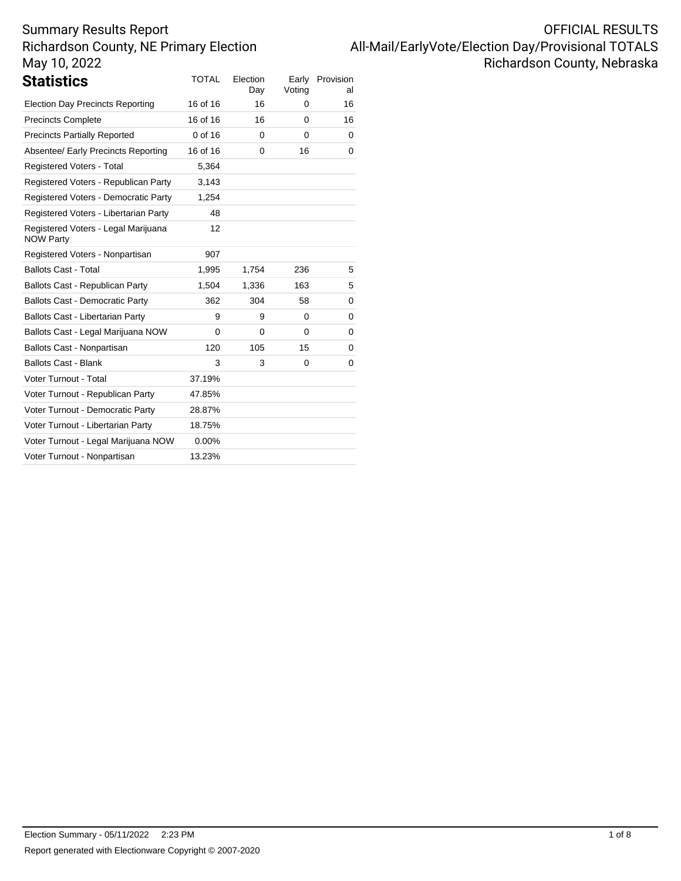| <b>OFFICIAL RESULTS</b>                            |
|----------------------------------------------------|
| All-Mail/EarlyVote/Election Day/Provisional TOTALS |
| Richardson County, Nebraska                        |

| Statistics                                              | <b>TOTAL</b> | Election<br>Day | Early<br>Voting | Provision<br>al |
|---------------------------------------------------------|--------------|-----------------|-----------------|-----------------|
| <b>Election Day Precincts Reporting</b>                 | 16 of 16     | 16              | 0               | 16              |
| <b>Precincts Complete</b>                               | 16 of 16     | 16              | 0               | 16              |
| <b>Precincts Partially Reported</b>                     | 0 of 16      | $\Omega$        | 0               | 0               |
| Absentee/ Early Precincts Reporting                     | 16 of 16     | $\Omega$        | 16              | 0               |
| Registered Voters - Total                               | 5,364        |                 |                 |                 |
| Registered Voters - Republican Party                    | 3,143        |                 |                 |                 |
| Registered Voters - Democratic Party                    | 1,254        |                 |                 |                 |
| Registered Voters - Libertarian Party                   | 48           |                 |                 |                 |
| Registered Voters - Legal Marijuana<br><b>NOW Party</b> | 12           |                 |                 |                 |
| Registered Voters - Nonpartisan                         | 907          |                 |                 |                 |
| <b>Ballots Cast - Total</b>                             | 1,995        | 1,754           | 236             | 5               |
| Ballots Cast - Republican Party                         | 1,504        | 1,336           | 163             | 5               |
| <b>Ballots Cast - Democratic Party</b>                  | 362          | 304             | 58              | 0               |
| Ballots Cast - Libertarian Party                        | 9            | 9               | $\Omega$        | 0               |
| Ballots Cast - Legal Marijuana NOW                      | 0            | 0               | 0               | 0               |
| Ballots Cast - Nonpartisan                              | 120          | 105             | 15              | 0               |
| <b>Ballots Cast - Blank</b>                             | 3            | 3               | $\Omega$        | 0               |
| Voter Turnout - Total                                   | 37.19%       |                 |                 |                 |
| Voter Turnout - Republican Party                        | 47.85%       |                 |                 |                 |
| Voter Turnout - Democratic Party                        | 28.87%       |                 |                 |                 |
| Voter Turnout - Libertarian Party                       | 18.75%       |                 |                 |                 |
| Voter Turnout - Legal Marijuana NOW                     | $0.00\%$     |                 |                 |                 |
| Voter Turnout - Nonpartisan                             | 13.23%       |                 |                 |                 |
|                                                         |              |                 |                 |                 |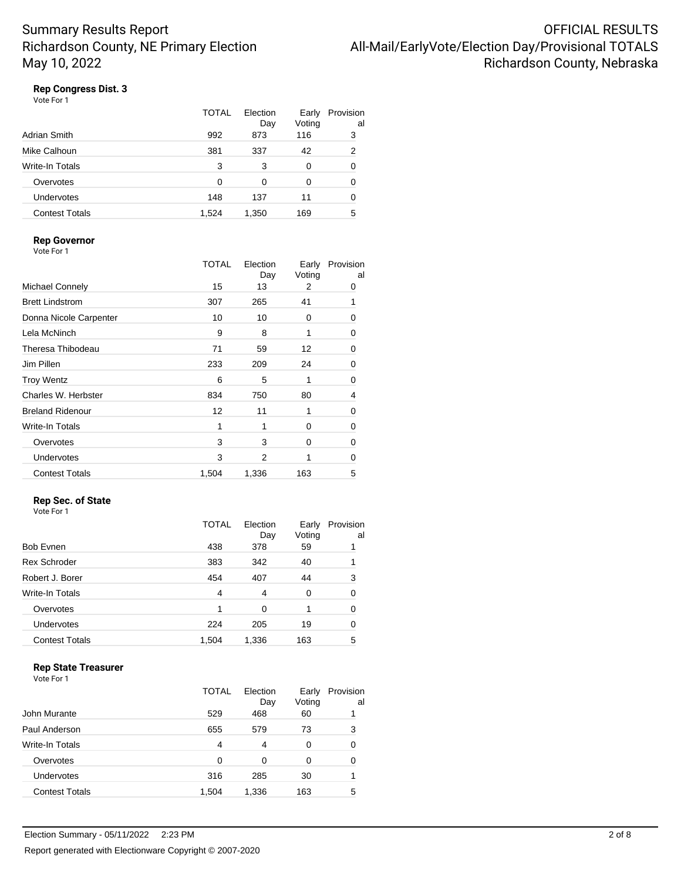## **Rep Congress Dist. 3**

| Vote For 1 |  |
|------------|--|
|------------|--|

|                       | TOTAL | Election<br>Day | Early<br>Voting | Provision<br>al |
|-----------------------|-------|-----------------|-----------------|-----------------|
| Adrian Smith          | 992   | 873             | 116             | 3               |
| Mike Calhoun          | 381   | 337             | 42              | 2               |
| Write-In Totals       | 3     | 3               | 0               | 0               |
| Overvotes             | O     | O               | 0               | 0               |
| Undervotes            | 148   | 137             | 11              | 0               |
| <b>Contest Totals</b> | 1.524 | 1,350           | 169             | 5               |

#### **Rep Governor**

|                         | <b>TOTAL</b> | Election<br>Day | Early<br>Voting | Provision<br>al |
|-------------------------|--------------|-----------------|-----------------|-----------------|
| <b>Michael Connely</b>  | 15           | 13              | 2               | 0               |
| <b>Brett Lindstrom</b>  | 307          | 265             | 41              |                 |
| Donna Nicole Carpenter  | 10           | 10              | 0               | 0               |
| Lela McNinch            | 9            | 8               | 1               | 0               |
| Theresa Thibodeau       | 71           | 59              | 12              | 0               |
| Jim Pillen              | 233          | 209             | 24              | 0               |
| <b>Troy Wentz</b>       | 6            | 5               | 1               | 0               |
| Charles W. Herbster     | 834          | 750             | 80              | 4               |
| <b>Breland Ridenour</b> | 12           | 11              | 1               | 0               |
| <b>Write-In Totals</b>  | 1            | 1               | 0               | 0               |
| Overvotes               | 3            | 3               | 0               | 0               |
| Undervotes              | 3            | 2               |                 | 0               |
| <b>Contest Totals</b>   | 1,504        | 1,336           | 163             | 5               |

### **Rep Sec. of State**

| Vote For 1 |  |
|------------|--|
|            |  |

| TOTAL<br>Election<br>Provision<br>Early<br>Voting<br>Day<br>Bob Evnen<br>378<br>59<br>438 | al |
|-------------------------------------------------------------------------------------------|----|
|                                                                                           |    |
| <b>Rex Schroder</b><br>383<br>342<br>40                                                   |    |
| Robert J. Borer<br>454<br>407<br>44                                                       | 3  |
| <b>Write-In Totals</b><br>4<br>4<br>0                                                     | 0  |
| Overvotes<br>$\Omega$<br>1                                                                | 0  |
| Undervotes<br>224<br>205<br>19                                                            | 0  |
| <b>Contest Totals</b><br>1,336<br>163<br>1,504                                            | 5  |

### **Rep State Treasurer**

|                       | TOTAL | Flection<br>Day | Early<br>Voting | Provision<br>al |
|-----------------------|-------|-----------------|-----------------|-----------------|
| John Murante          | 529   | 468             | 60              |                 |
| Paul Anderson         | 655   | 579             | 73              | 3               |
| Write-In Totals       | 4     | 4               | 0               | 0               |
| Overvotes             | 0     | 0               | 0               | 0               |
| Undervotes            | 316   | 285             | 30              |                 |
| <b>Contest Totals</b> | 1.504 | 1,336           | 163             | 5               |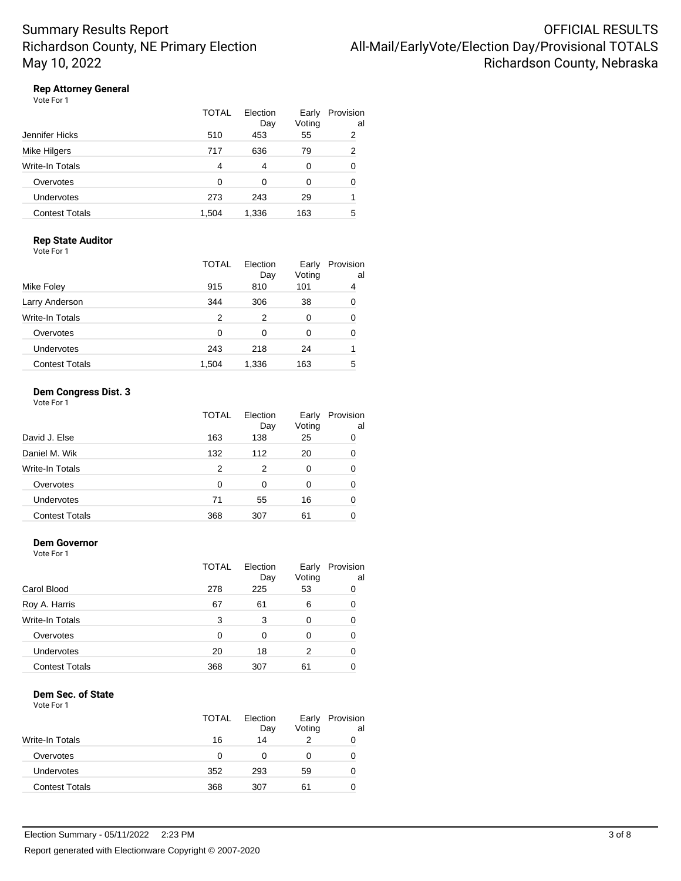## **Rep Attorney General**

| Vote For 1 |  |
|------------|--|
|------------|--|

|                       | TOTAL | Election<br>Day | Early<br>Voting | Provision<br>al |
|-----------------------|-------|-----------------|-----------------|-----------------|
| Jennifer Hicks        | 510   | 453             | 55              | 2               |
| Mike Hilgers          | 717   | 636             | 79              | 2               |
| Write-In Totals       | 4     | 4               | 0               | 0               |
| Overvotes             | O     | 0               | 0               | 0               |
| <b>Undervotes</b>     | 273   | 243             | 29              |                 |
| <b>Contest Totals</b> | 1.504 | 1,336           | 163             | 5               |

#### **Rep State Auditor** Vote For 1

|                       | <b>TOTAL</b> | Election<br>Day | Early<br>Voting | Provision<br>al |
|-----------------------|--------------|-----------------|-----------------|-----------------|
| Mike Foley            | 915          | 810             | 101             | 4               |
| Larry Anderson        | 344          | 306             | 38              | 0               |
| Write-In Totals       | 2            | 2               | 0               | 0               |
| Overvotes             | 0            | 0               | 0               | 0               |
| Undervotes            | 243          | 218             | 24              |                 |
| <b>Contest Totals</b> | 1.504        | 1.336           | 163             | 5               |

## **Dem Congress Dist. 3**

Vote For 1

|                       | TOTAL | Election<br>Day | Early<br>Voting | Provision<br>al |
|-----------------------|-------|-----------------|-----------------|-----------------|
| David J. Else         | 163   | 138             | 25              | 0               |
| Daniel M. Wik         | 132   | 112             | 20              | 0               |
| Write-In Totals       | 2     | 2               | 0               | 0               |
| Overvotes             | 0     | 0               | 0               | 0               |
| Undervotes            | 71    | 55              | 16              | 0               |
| <b>Contest Totals</b> | 368   | 307             | 61              |                 |

#### **Dem Governor**

Vote For 1

|                       | <b>TOTAL</b> | Election<br>Day | Early<br>Voting | Provision<br>al |
|-----------------------|--------------|-----------------|-----------------|-----------------|
| Carol Blood           | 278          | 225             | 53              |                 |
| Roy A. Harris         | 67           | 61              | 6               |                 |
| Write-In Totals       | 3            | 3               | 0               |                 |
| Overvotes             | 0            | 0               | 0               |                 |
| <b>Undervotes</b>     | 20           | 18              | 2               |                 |
| <b>Contest Totals</b> | 368          | 307             | 61              |                 |

#### **Dem Sec. of State**

|                       | TOTAL | Election<br>Day | Early<br>Voting | Provision<br>al |
|-----------------------|-------|-----------------|-----------------|-----------------|
| Write-In Totals       | 16    | 14              |                 | O               |
| Overvotes             | O     |                 | $\mathbf{0}$    | O               |
| Undervotes            | 352   | 293             | 59              | O               |
| <b>Contest Totals</b> | 368   | 307             | 61              |                 |
|                       |       |                 |                 |                 |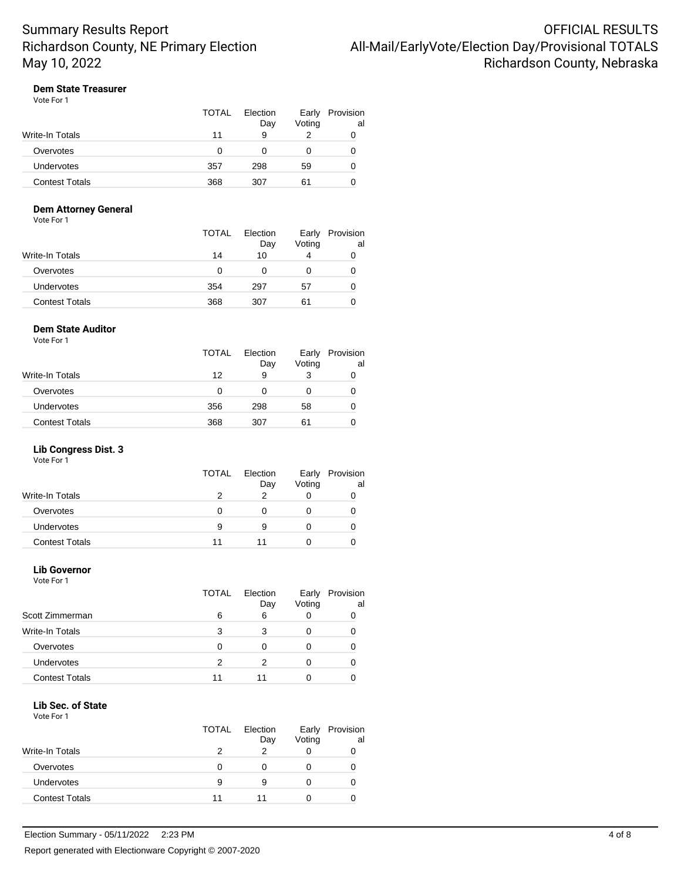## **Dem State Treasurer**

| Vote For 1 |  |
|------------|--|
|------------|--|

|                 | TOTAL | Election<br>Day | Early<br>Voting | Provision<br>al |
|-----------------|-------|-----------------|-----------------|-----------------|
| Write-In Totals | 11    | 9               | っ               |                 |
| Overvotes       | O     |                 |                 | O               |
| Undervotes      | 357   | 298             | 59              | O               |
| Contest Totals  | 368   | 307             | 61              |                 |

## **Dem Attorney General**

Vote For 1

|                   | <b>TOTAL</b> | Election<br>Day | Early<br>Voting | Provision<br>al |
|-------------------|--------------|-----------------|-----------------|-----------------|
| Write-In Totals   | 14           | 10              | 4               | 0               |
| Overvotes         | 0            |                 |                 | O               |
| <b>Undervotes</b> | 354          | 297             | 57              | O               |
| Contest Totals    | 368          | 307             | 61              |                 |

#### **Dem State Auditor**

Vote For 1

|                       | <b>TOTAL</b> | Election<br>Day | Early<br>Voting | Provision<br>al |
|-----------------------|--------------|-----------------|-----------------|-----------------|
| Write-In Totals       | 12           | 9               |                 |                 |
| Overvotes             | 0            | O               | O               |                 |
| <b>Undervotes</b>     | 356          | 298             | 58              |                 |
| <b>Contest Totals</b> | 368          | 307             | 61              |                 |

### **Lib Congress Dist. 3**

Vote For 1

|                       | <b>TOTAL</b> | Election<br>Day | Early<br>Voting | Provision<br>al |
|-----------------------|--------------|-----------------|-----------------|-----------------|
| Write-In Totals       |              |                 |                 |                 |
| Overvotes             |              |                 |                 |                 |
| <b>Undervotes</b>     | 9            | 9               |                 |                 |
| <b>Contest Totals</b> | 11           |                 |                 |                 |

#### **Lib Governor** Vote For 1

|                        | <b>TOTAL</b> | Election<br>Day | Early<br>Voting | Provision<br>al |
|------------------------|--------------|-----------------|-----------------|-----------------|
| Scott Zimmerman        | 6            | 6               |                 |                 |
| <b>Write-In Totals</b> | 3            | 3               |                 |                 |
| Overvotes              | ∩            | Ω               |                 |                 |
| Undervotes             | 2            | っ               |                 |                 |
| <b>Contest Totals</b>  | 11           |                 |                 |                 |

### **Lib Sec. of State**

|                       | <b>TOTAL</b> | Election<br>Day | Early<br>Voting | Provision<br>al |
|-----------------------|--------------|-----------------|-----------------|-----------------|
| Write-In Totals       |              | っ               |                 |                 |
| Overvotes             | O            |                 |                 |                 |
| <b>Undervotes</b>     | 9            | 9               | $\mathbf{0}$    |                 |
| <b>Contest Totals</b> | 11           | 11              |                 |                 |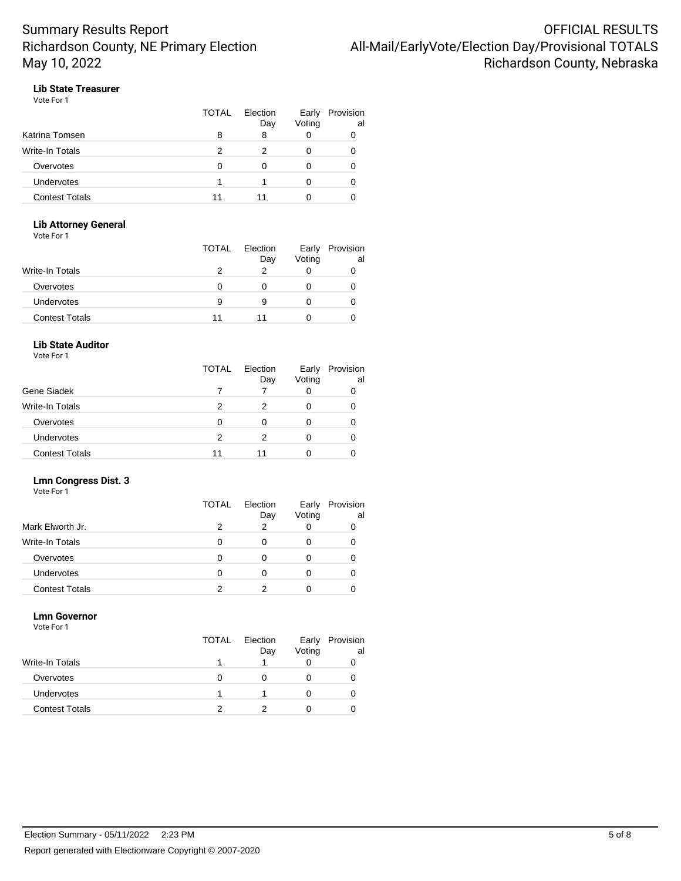## **Lib State Treasurer**

| Vote For 1 |  |  |
|------------|--|--|
|------------|--|--|

|                        | <b>TOTAL</b> | Election<br>Day | Early<br>Voting | Provision<br>al |
|------------------------|--------------|-----------------|-----------------|-----------------|
| Katrina Tomsen         | 8            |                 |                 |                 |
| <b>Write-In Totals</b> |              |                 | O               |                 |
| Overvotes              | O            |                 | 0               |                 |
| Undervotes             |              |                 | O               |                 |
| <b>Contest Totals</b>  | 11           | 11              |                 |                 |

### **Lib Attorney General**

Vote For 1

|                       | TOTAL | Election<br>Day | Early<br>Voting | Provision<br>al |
|-----------------------|-------|-----------------|-----------------|-----------------|
| Write-In Totals       |       |                 |                 |                 |
| Overvotes             |       |                 |                 |                 |
| Undervotes            | 9     | 9               |                 |                 |
| <b>Contest Totals</b> | 11    | 11              |                 |                 |

## **Lib State Auditor**

Vote For 1

|                       | TOTAL | Election<br>Day | Early<br>Voting | Provision<br>al |
|-----------------------|-------|-----------------|-----------------|-----------------|
| Gene Siadek           |       |                 |                 |                 |
| Write-In Totals       |       |                 |                 |                 |
| Overvotes             | n     | ∩               |                 |                 |
| <b>Undervotes</b>     | 2     |                 |                 |                 |
| <b>Contest Totals</b> | 11    |                 |                 |                 |

## **Lmn Congress Dist. 3**

Vote For 1

|                       | TOTAL | Election<br>Day | Early<br>Voting | Provision<br>al |
|-----------------------|-------|-----------------|-----------------|-----------------|
| Mark Elworth Jr.      | 2     | າ               |                 |                 |
| Write-In Totals       |       |                 |                 |                 |
| Overvotes             |       |                 |                 |                 |
| <b>Undervotes</b>     |       |                 |                 |                 |
| <b>Contest Totals</b> |       |                 |                 |                 |

### **Lmn Governor**

Vote For 1 TOTAL Election Day Early Provision Voting al Write-In Totals **1** 1 0 0 0 Overvotes 0 0 0 0 0 Undervotes 1 1 0 0 Contest Totals 2 2 0 0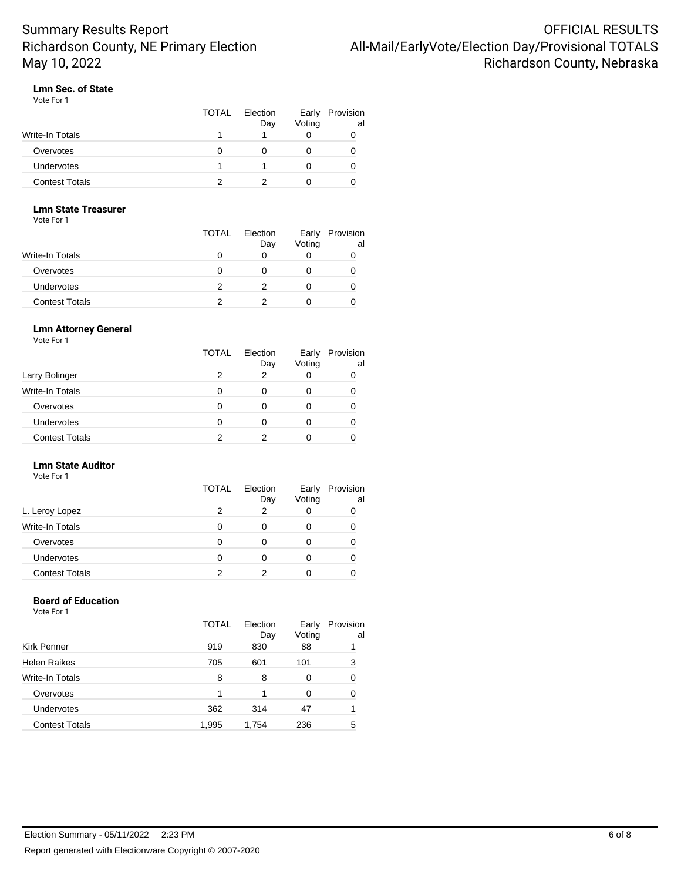## **Lmn Sec. of State**

Vote For 1

|                       | TOTAL | Election<br>Day | Early<br>Voting | Provision<br>al |
|-----------------------|-------|-----------------|-----------------|-----------------|
| Write-In Totals       |       |                 |                 |                 |
| Overvotes             |       |                 |                 |                 |
| <b>Undervotes</b>     |       |                 |                 |                 |
| <b>Contest Totals</b> |       |                 |                 |                 |

## **Lmn State Treasurer**

Vote For 1

|                   | <b>TOTAL</b> | Election<br>Day | Early<br>Voting | Provision<br>al |
|-------------------|--------------|-----------------|-----------------|-----------------|
| Write-In Totals   |              |                 |                 |                 |
| Overvotes         |              |                 |                 |                 |
| <b>Undervotes</b> |              |                 |                 | O               |
| Contest Totals    |              |                 |                 |                 |

### **Lmn Attorney General**

Vote For 1

|                       | <b>TOTAL</b> | Election<br>Day | Early<br>Voting | Provision<br>al |
|-----------------------|--------------|-----------------|-----------------|-----------------|
| Larry Bolinger        |              | っ               |                 |                 |
| Write-In Totals       |              | 0               |                 |                 |
| Overvotes             |              | 0               |                 |                 |
| <b>Undervotes</b>     | O            | 0               | O               |                 |
| <b>Contest Totals</b> |              |                 |                 |                 |

## **Lmn State Auditor**

Vote For 1

|                        | TOTAL | Election<br>Day | Early<br>Voting | Provision<br>al |
|------------------------|-------|-----------------|-----------------|-----------------|
| L. Leroy Lopez         |       | ົ               |                 |                 |
| <b>Write-In Totals</b> |       | 0               |                 |                 |
| Overvotes              |       |                 |                 |                 |
| Undervotes             |       |                 |                 |                 |
| <b>Contest Totals</b>  |       |                 |                 |                 |
|                        |       |                 |                 |                 |

### **Board of Education**

|                       | TOTAL | Election<br>Day | Early<br>Voting | Provision<br>al |
|-----------------------|-------|-----------------|-----------------|-----------------|
| Kirk Penner           | 919   | 830             | 88              |                 |
| <b>Helen Raikes</b>   | 705   | 601             | 101             | 3               |
| Write-In Totals       | 8     | 8               | 0               |                 |
| Overvotes             |       | 1               | 0               |                 |
| Undervotes            | 362   | 314             | 47              |                 |
| <b>Contest Totals</b> | 1,995 | 1,754           | 236             | 5               |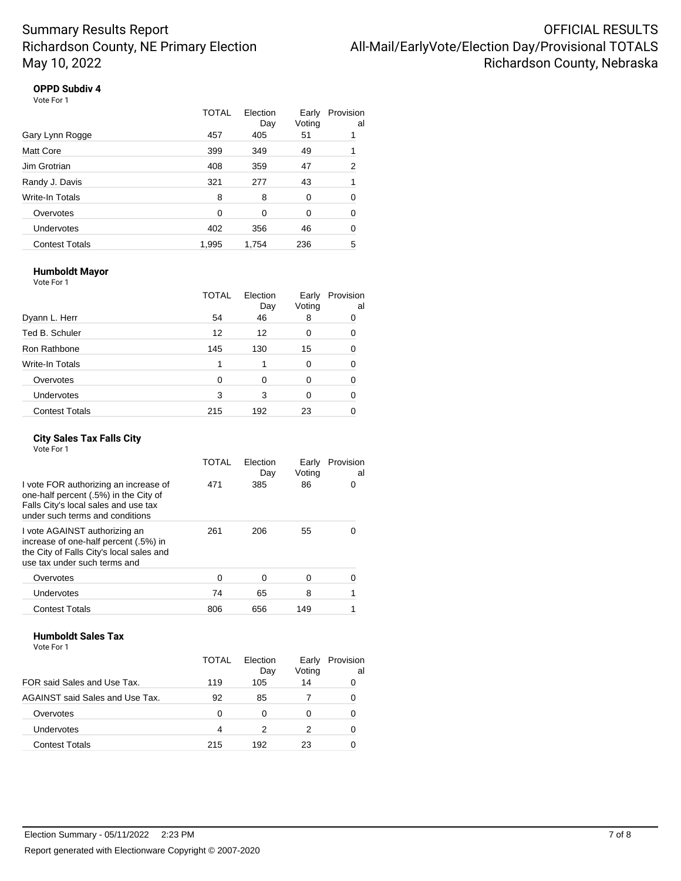## **OPPD Subdiv 4**

| VII P JUDUIV |  |  |  |  |
|--------------|--|--|--|--|
| Vote For 1   |  |  |  |  |

|                       | TOTAL | Election<br>Day | Early<br>Voting | Provision<br>al |
|-----------------------|-------|-----------------|-----------------|-----------------|
| Gary Lynn Rogge       | 457   | 405             | 51              |                 |
| Matt Core             | 399   | 349             | 49              |                 |
| Jim Grotrian          | 408   | 359             | 47              | 2               |
| Randy J. Davis        | 321   | 277             | 43              | 1               |
| Write-In Totals       | 8     | 8               | $\Omega$        | 0               |
| Overvotes             | 0     | 0               | 0               | 0               |
| Undervotes            | 402   | 356             | 46              | 0               |
| <b>Contest Totals</b> | 1,995 | 1,754           | 236             | 5               |

### **Humboldt Mayor**

Vote For 1

|                       | <b>TOTAL</b> | Election<br>Day | Early<br>Voting | Provision<br>al |
|-----------------------|--------------|-----------------|-----------------|-----------------|
| Dyann L. Herr         | 54           | 46              | 8               | 0               |
| Ted B. Schuler        | 12           | 12              | 0               | 0               |
| Ron Rathbone          | 145          | 130             | 15              |                 |
| Write-In Totals       |              |                 | 0               | 0               |
| Overvotes             | $\Omega$     | 0               | 0               | ŋ               |
| Undervotes            | 3            | 3               | 0               | 0               |
| <b>Contest Totals</b> | 215          | 192             | 23              |                 |

#### **City Sales Tax Falls City** Vote For 1

|                                                                                                                                                           | TOTAL | Election<br>Day | Early<br>Voting | Provision<br>al |
|-----------------------------------------------------------------------------------------------------------------------------------------------------------|-------|-----------------|-----------------|-----------------|
| I vote FOR authorizing an increase of<br>one-half percent (.5%) in the City of<br>Falls City's local sales and use tax<br>under such terms and conditions | 471   | 385             | 86              | Ω               |
| I vote AGAINST authorizing an<br>increase of one-half percent (.5%) in<br>the City of Falls City's local sales and<br>use tax under such terms and        | 261   | 206             | 55              |                 |
| Overvotes                                                                                                                                                 | U     | 0               | 0               |                 |
| Undervotes                                                                                                                                                | 74    | 65              | 8               |                 |
| <b>Contest Totals</b>                                                                                                                                     | 806   | 656             | 149             |                 |

## **Humboldt Sales Tax**

|                                 | TOTAL | Flection<br>Day | Early<br>Voting | Provision<br>al |
|---------------------------------|-------|-----------------|-----------------|-----------------|
| FOR said Sales and Use Tax.     | 119   | 105             | 14              |                 |
| AGAINST said Sales and Use Tax. | 92    | 85              |                 |                 |
| Overvotes                       | 0     | 0               | 0               |                 |
| Undervotes                      | 4     | 2               | 2               |                 |
| <b>Contest Totals</b>           | 215   | 192             | 23              |                 |